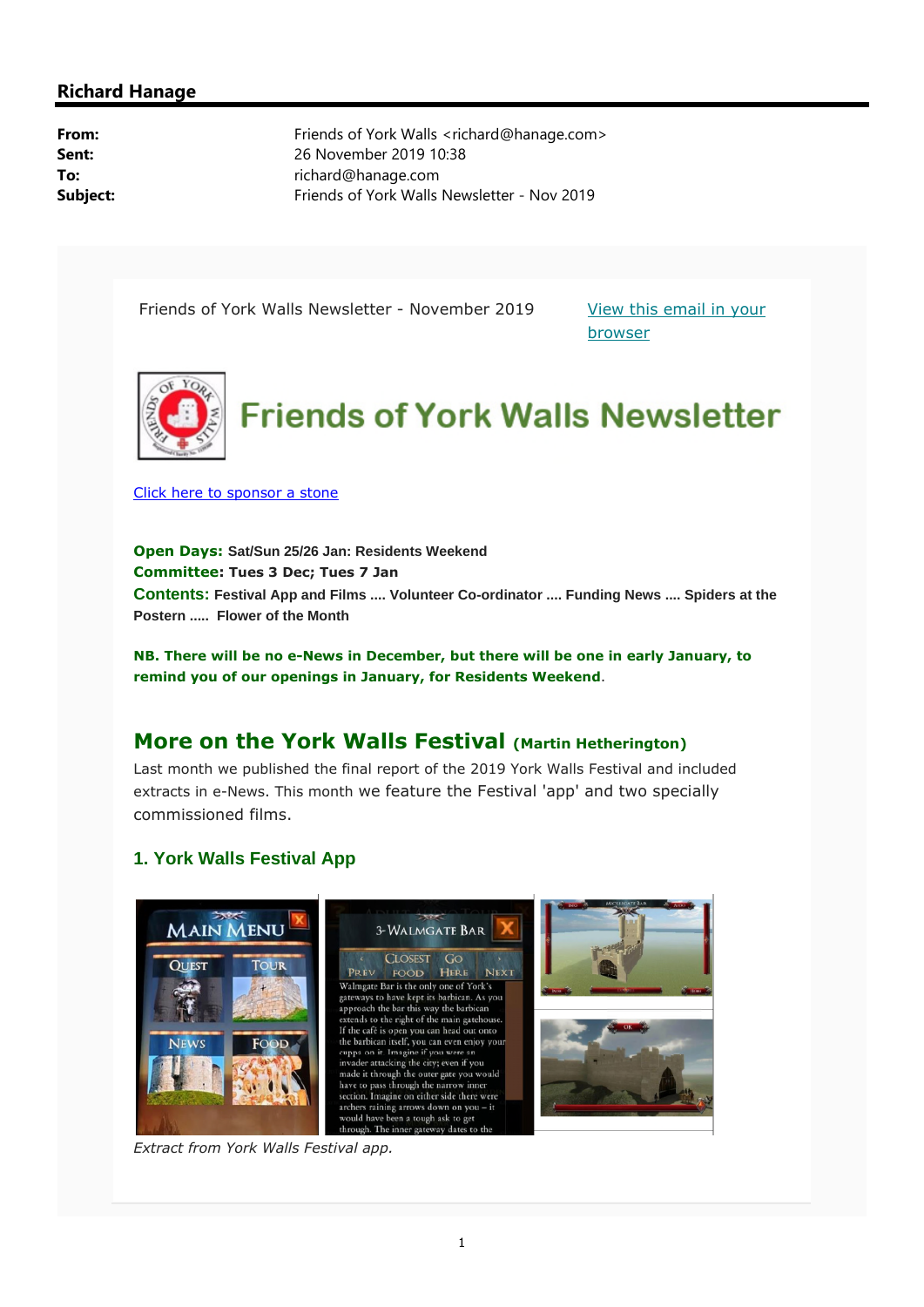### **Richard Hanage**

**From:** Friends of York Walls <richard@hanage.com> **Sent:** 26 November 2019 10:38 **To:** richard@hanage.com **Subject:** Friends of York Walls Newsletter - Nov 2019

Friends of York Walls Newsletter - November 2019 View this email in your

browser



Click here to sponsor a stone

**Open Days: Sat/Sun 25/26 Jan: Residents Weekend Committee: Tues 3 Dec; Tues 7 Jan Contents: Festival App and Films .... Volunteer Co-ordinator .... Funding News .... Spiders at the Postern ..... Flower of the Month**

**NB. There will be no e-News in December, but there will be one in early January, to remind you of our openings in January, for Residents Weekend**.

# **More on the York Walls Festival (Martin Hetherington)**

Last month we published the final report of the 2019 York Walls Festival and included extracts in e-News. This month we feature the Festival 'app' and two specially commissioned films.

### **1. York Walls Festival App**



*Extract from York Walls Festival app.*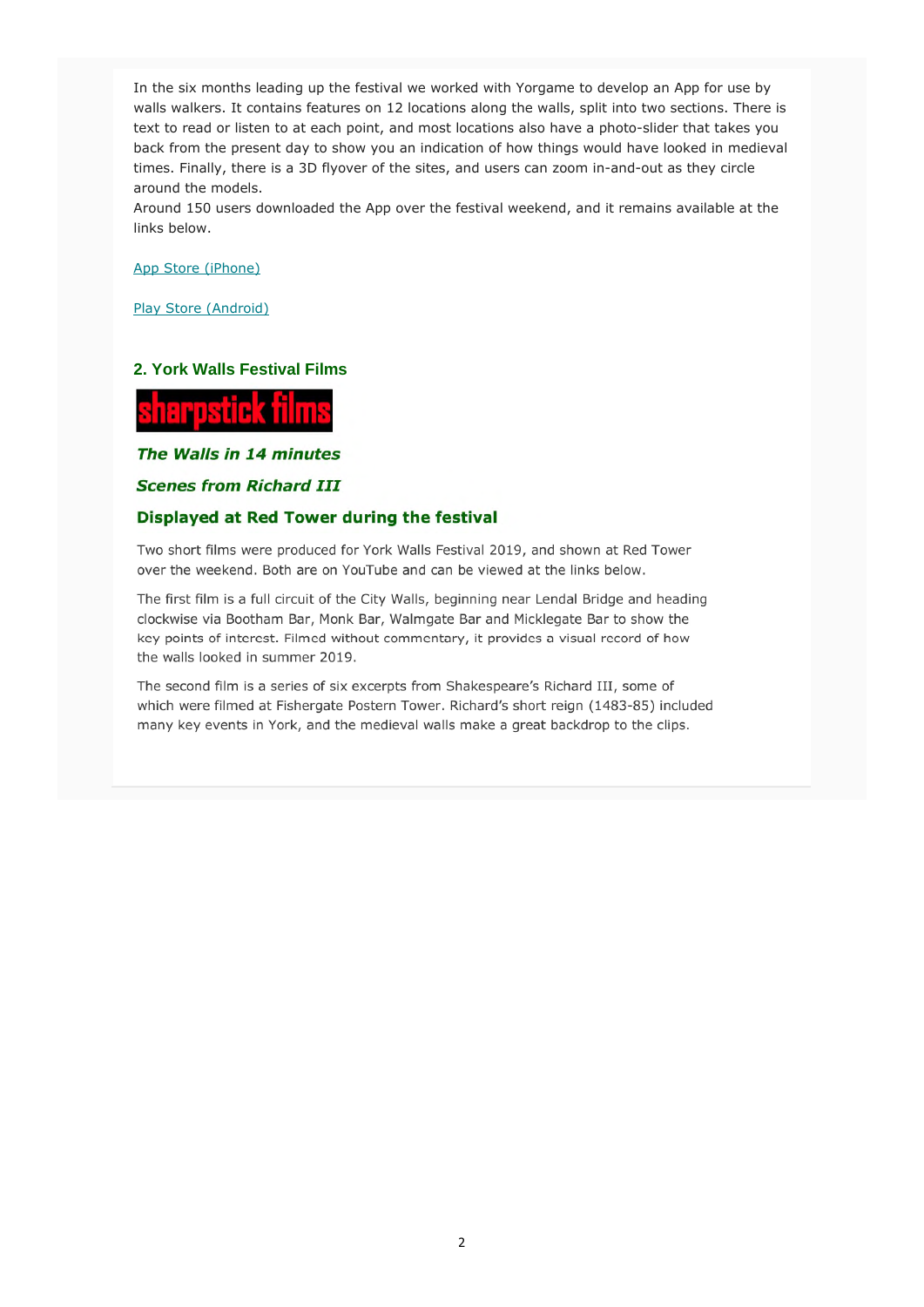In the six months leading up the festival we worked with Yorgame to develop an App for use by walls walkers. It contains features on 12 locations along the walls, split into two sections. There is text to read or listen to at each point, and most locations also have a photo-slider that takes you back from the present day to show you an indication of how things would have looked in medieval times. Finally, there is a 3D flyover of the sites, and users can zoom in-and-out as they circle around the models.

Around 150 users downloaded the App over the festival weekend, and it remains available at the links below.

App Store (iPhone)

Play Store (Android)

### **2. York Walls Festival Films**



The Walls in 14 minutes

**Scenes from Richard III** 

#### Displayed at Red Tower during the festival

Two short films were produced for York Walls Festival 2019, and shown at Red Tower over the weekend. Both are on YouTube and can be viewed at the links below.

The first film is a full circuit of the City Walls, beginning near Lendal Bridge and heading clockwise via Bootham Bar, Monk Bar, Walmgate Bar and Micklegate Bar to show the key points of interest. Filmed without commentary, it provides a visual record of how the walls looked in summer 2019.

The second film is a series of six excerpts from Shakespeare's Richard III, some of which were filmed at Fishergate Postern Tower. Richard's short reign (1483-85) included many key events in York, and the medieval walls make a great backdrop to the clips.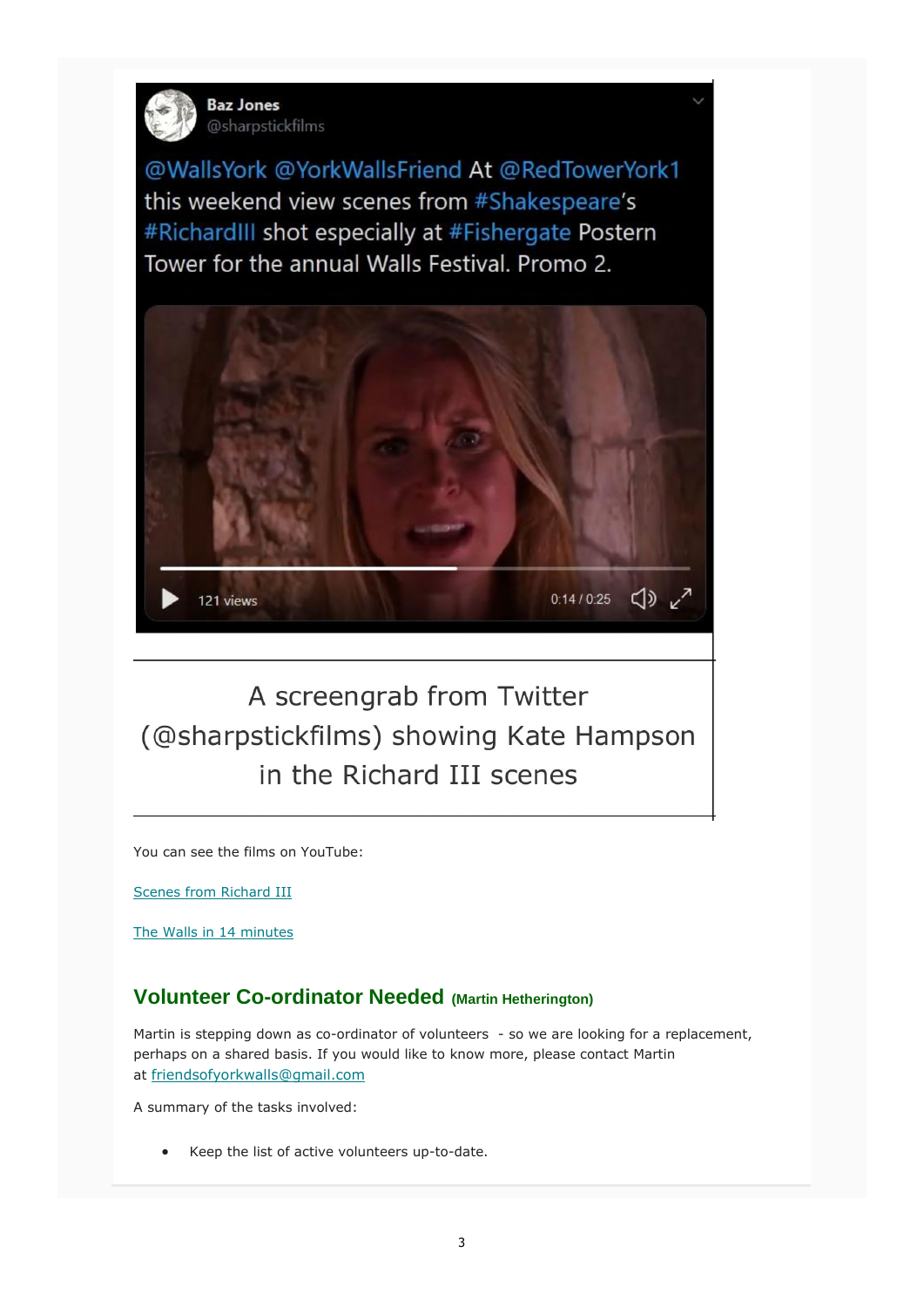

**Baz Jones** @sharpstickfilms

@WallsYork @YorkWallsFriend At @RedTowerYork1 this weekend view scenes from #Shakespeare's #RichardIII shot especially at #Fishergate Postern Tower for the annual Walls Festival, Promo 2.



A screengrab from Twitter (@sharpstickfilms) showing Kate Hampson in the Richard III scenes

You can see the films on YouTube:

Scenes from Richard III

The Walls in 14 minutes

# **Volunteer Co-ordinator Needed (Martin Hetherington)**

Martin is stepping down as co-ordinator of volunteers - so we are looking for a replacement, perhaps on a shared basis. If you would like to know more, please contact Martin at friendsofyorkwalls@gmail.com

A summary of the tasks involved:

Keep the list of active volunteers up-to-date.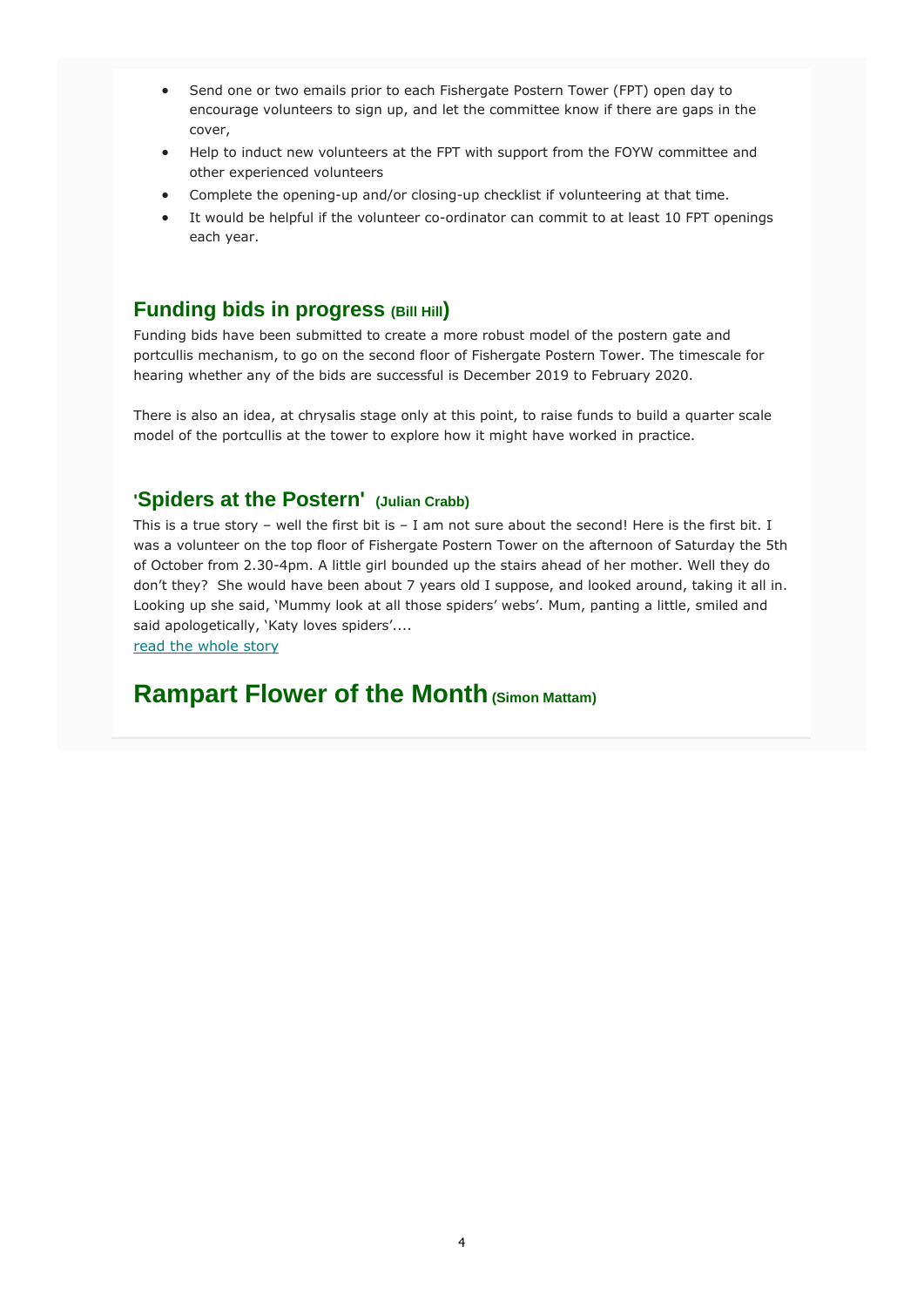- Send one or two emails prior to each Fishergate Postern Tower (FPT) open day to encourage volunteers to sign up, and let the committee know if there are gaps in the cover,
- Help to induct new volunteers at the FPT with support from the FOYW committee and other experienced volunteers
- Complete the opening-up and/or closing-up checklist if volunteering at that time.
- It would be helpful if the volunteer co-ordinator can commit to at least 10 FPT openings each year.

## **Funding bids in progress (Bill Hill)**

Funding bids have been submitted to create a more robust model of the postern gate and portcullis mechanism, to go on the second floor of Fishergate Postern Tower. The timescale for hearing whether any of the bids are successful is December 2019 to February 2020.

There is also an idea, at chrysalis stage only at this point, to raise funds to build a quarter scale model of the portcullis at the tower to explore how it might have worked in practice.

### **'Spiders at the Postern' (Julian Crabb)**

This is a true story – well the first bit is – I am not sure about the second! Here is the first bit. I was a volunteer on the top floor of Fishergate Postern Tower on the afternoon of Saturday the 5th of October from 2.30-4pm. A little girl bounded up the stairs ahead of her mother. Well they do don't they? She would have been about 7 years old I suppose, and looked around, taking it all in. Looking up she said, 'Mummy look at all those spiders' webs'. Mum, panting a little, smiled and said apologetically, 'Katy loves spiders'....

read the whole story

# **Rampart Flower of the Month (Simon Mattam)**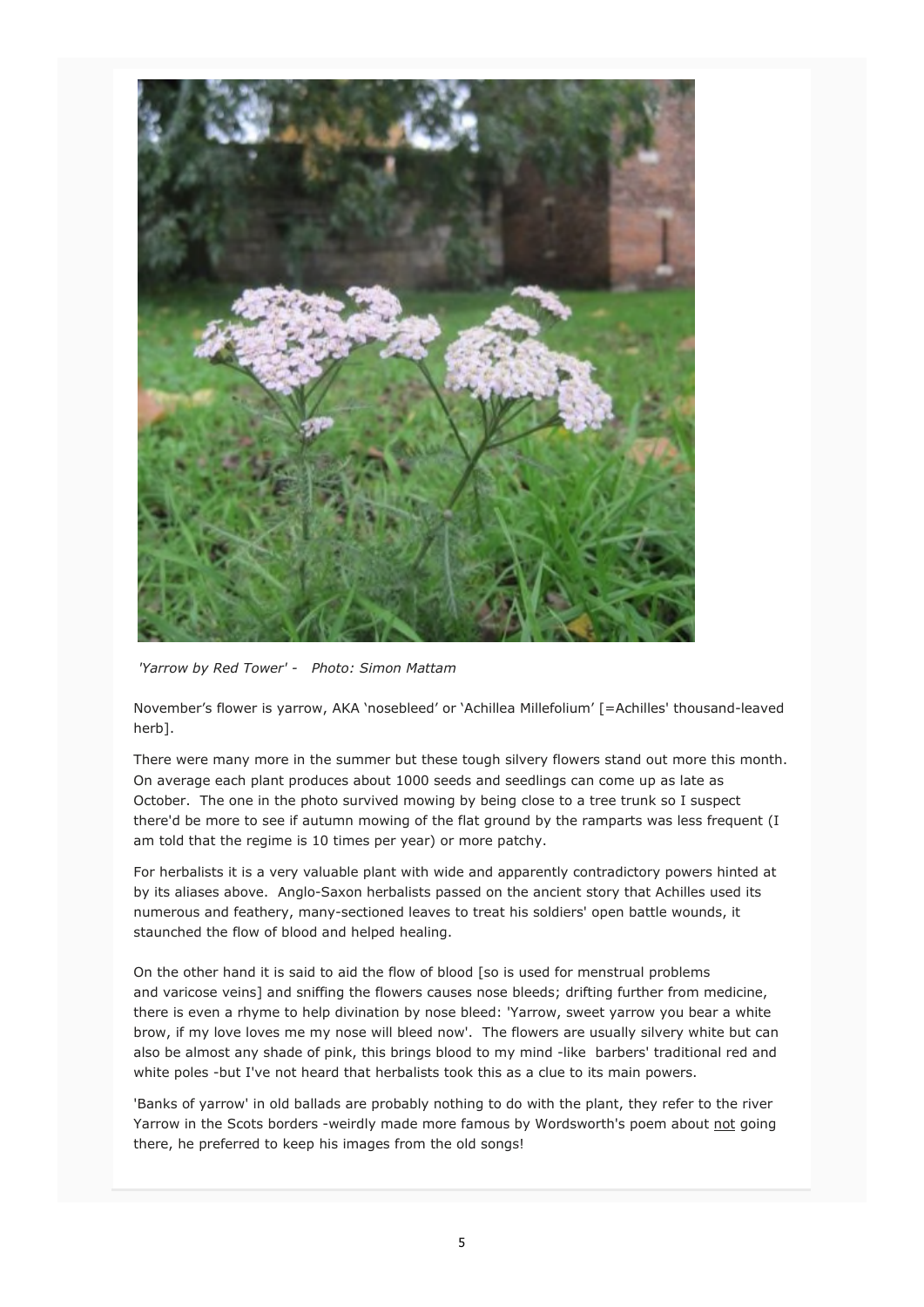

 *'Yarrow by Red Tower' - Photo: Simon Mattam* 

November's flower is yarrow, AKA 'nosebleed' or 'Achillea Millefolium' [=Achilles' thousand-leaved herb].

There were many more in the summer but these tough silvery flowers stand out more this month. On average each plant produces about 1000 seeds and seedlings can come up as late as October. The one in the photo survived mowing by being close to a tree trunk so I suspect there'd be more to see if autumn mowing of the flat ground by the ramparts was less frequent (I am told that the regime is 10 times per year) or more patchy.

For herbalists it is a very valuable plant with wide and apparently contradictory powers hinted at by its aliases above. Anglo-Saxon herbalists passed on the ancient story that Achilles used its numerous and feathery, many-sectioned leaves to treat his soldiers' open battle wounds, it staunched the flow of blood and helped healing.

On the other hand it is said to aid the flow of blood [so is used for menstrual problems and varicose veins] and sniffing the flowers causes nose bleeds; drifting further from medicine, there is even a rhyme to help divination by nose bleed: 'Yarrow, sweet yarrow you bear a white brow, if my love loves me my nose will bleed now'. The flowers are usually silvery white but can also be almost any shade of pink, this brings blood to my mind -like barbers' traditional red and white poles -but I've not heard that herbalists took this as a clue to its main powers.

'Banks of yarrow' in old ballads are probably nothing to do with the plant, they refer to the river Yarrow in the Scots borders -weirdly made more famous by Wordsworth's poem about not going there, he preferred to keep his images from the old songs!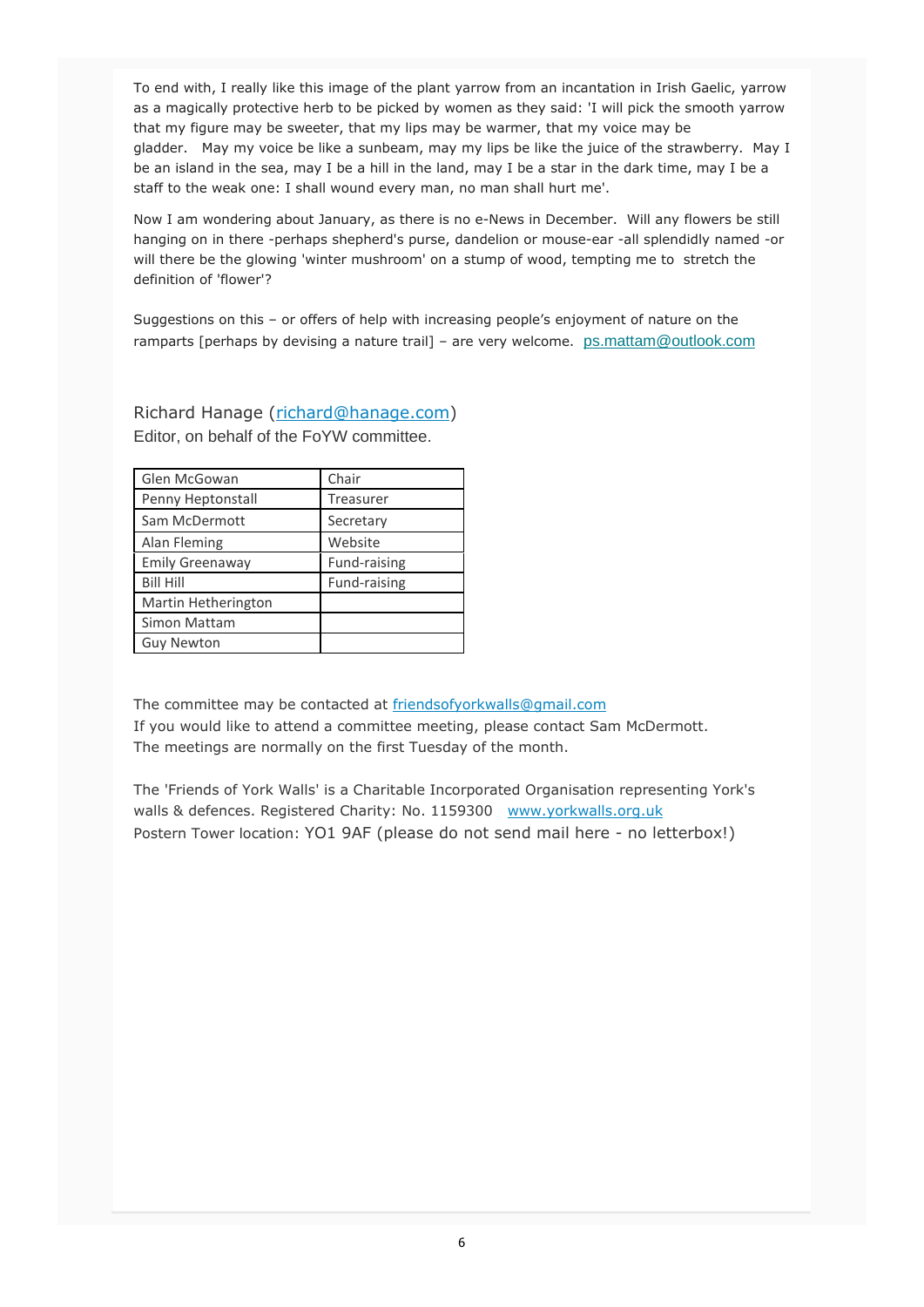To end with, I really like this image of the plant yarrow from an incantation in Irish Gaelic, yarrow as a magically protective herb to be picked by women as they said: 'I will pick the smooth yarrow that my figure may be sweeter, that my lips may be warmer, that my voice may be gladder. May my voice be like a sunbeam, may my lips be like the juice of the strawberry. May I be an island in the sea, may I be a hill in the land, may I be a star in the dark time, may I be a staff to the weak one: I shall wound every man, no man shall hurt me'.

Now I am wondering about January, as there is no e-News in December. Will any flowers be still hanging on in there -perhaps shepherd's purse, dandelion or mouse-ear -all splendidly named -or will there be the glowing 'winter mushroom' on a stump of wood, tempting me to stretch the definition of 'flower'?

Suggestions on this – or offers of help with increasing people's enjoyment of nature on the ramparts [perhaps by devising a nature trail] – are very welcome. ps.mattam@outlook.com

Richard Hanage (richard@hanage.com) Editor, on behalf of the FoYW committee.

| Glen McGowan           | Chair        |
|------------------------|--------------|
| Penny Heptonstall      | Treasurer    |
| Sam McDermott          | Secretary    |
| Alan Fleming           | Website      |
| <b>Emily Greenaway</b> | Fund-raising |
| <b>Bill Hill</b>       | Fund-raising |
| Martin Hetherington    |              |
| Simon Mattam           |              |
| <b>Guy Newton</b>      |              |

The committee may be contacted at friendsofyorkwalls@gmail.com If you would like to attend a committee meeting, please contact Sam McDermott. The meetings are normally on the first Tuesday of the month.

The 'Friends of York Walls' is a Charitable Incorporated Organisation representing York's walls & defences. Registered Charity: No. 1159300 www.yorkwalls.org.uk Postern Tower location: YO1 9AF (please do not send mail here - no letterbox!)